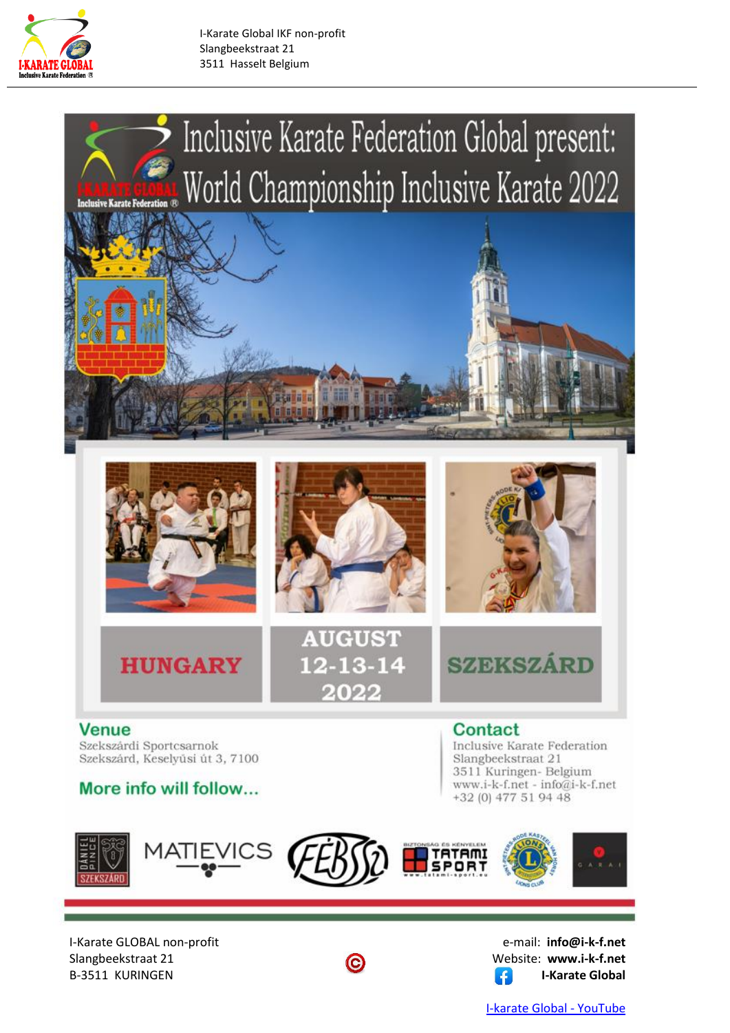

I-Karate Global IKF non-profit Slangbeekstraat 21 3511 Hasselt Belgium





I-Karate GLOBAL non-profit e-mail: **info@i-k-f.net** Slangbeekstraat 21 **C** Website: www.i-k-f.net B-3511 KURINGEN **I-Karate Global**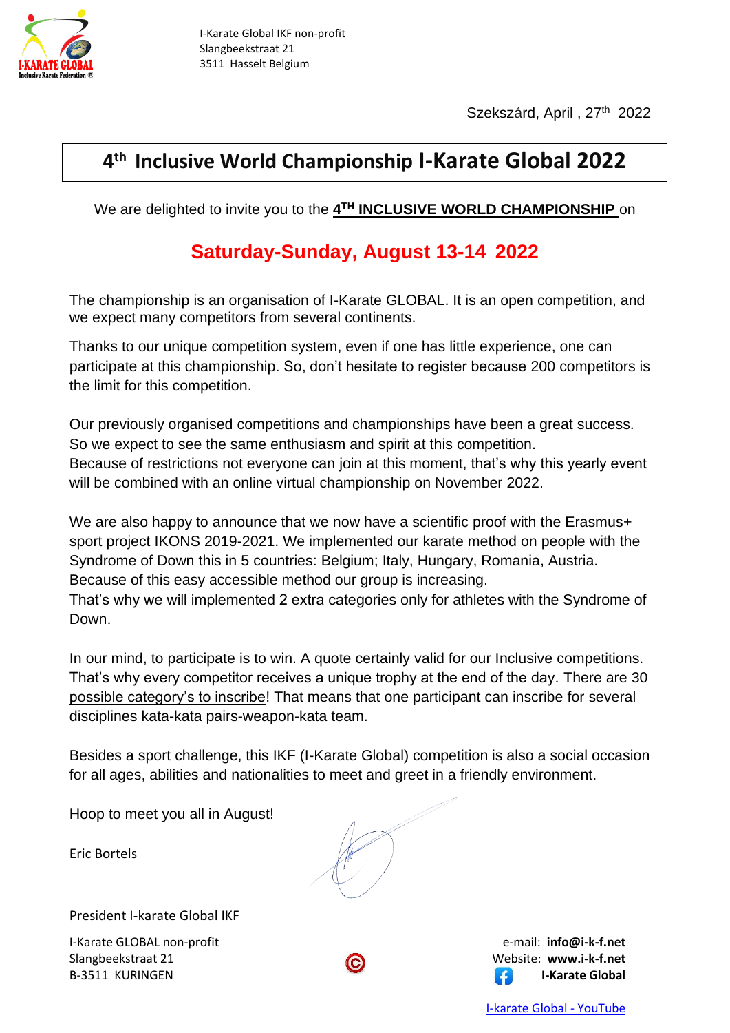

Szekszárd, April, 27<sup>th</sup> 2022

## **4 th Inclusive World Championship I-Karate Global 2022**

We are delighted to invite you to the **4 TH INCLUSIVE WORLD CHAMPIONSHIP** on

## **Saturday-Sunday, August 13-14 2022**

The championship is an organisation of I-Karate GLOBAL. It is an open competition, and we expect many competitors from several continents.

Thanks to our unique competition system, even if one has little experience, one can participate at this championship. So, don't hesitate to register because 200 competitors is the limit for this competition.

Our previously organised competitions and championships have been a great success. So we expect to see the same enthusiasm and spirit at this competition. Because of restrictions not everyone can join at this moment, that's why this yearly event will be combined with an online virtual championship on November 2022.

We are also happy to announce that we now have a scientific proof with the Erasmus+ sport project IKONS 2019-2021. We implemented our karate method on people with the Syndrome of Down this in 5 countries: Belgium; Italy, Hungary, Romania, Austria. Because of this easy accessible method our group is increasing.

That's why we will implemented 2 extra categories only for athletes with the Syndrome of Down.

In our mind, to participate is to win. A quote certainly valid for our Inclusive competitions. That's why every competitor receives a unique trophy at the end of the day. There are 30 possible category's to inscribe! That means that one participant can inscribe for several disciplines kata-kata pairs-weapon-kata team.

Besides a sport challenge, this IKF (I-Karate Global) competition is also a social occasion for all ages, abilities and nationalities to meet and greet in a friendly environment.

Hoop to meet you all in August!

Eric Bortels

President I-karate Global IKF

I-Karate GLOBAL non-profit e-mail: **info@i-k-f.net** Slangbeekstraat 21 **C** Website: **www.i-k-f.net** B-3511 KURINGEN **I-Karate Global**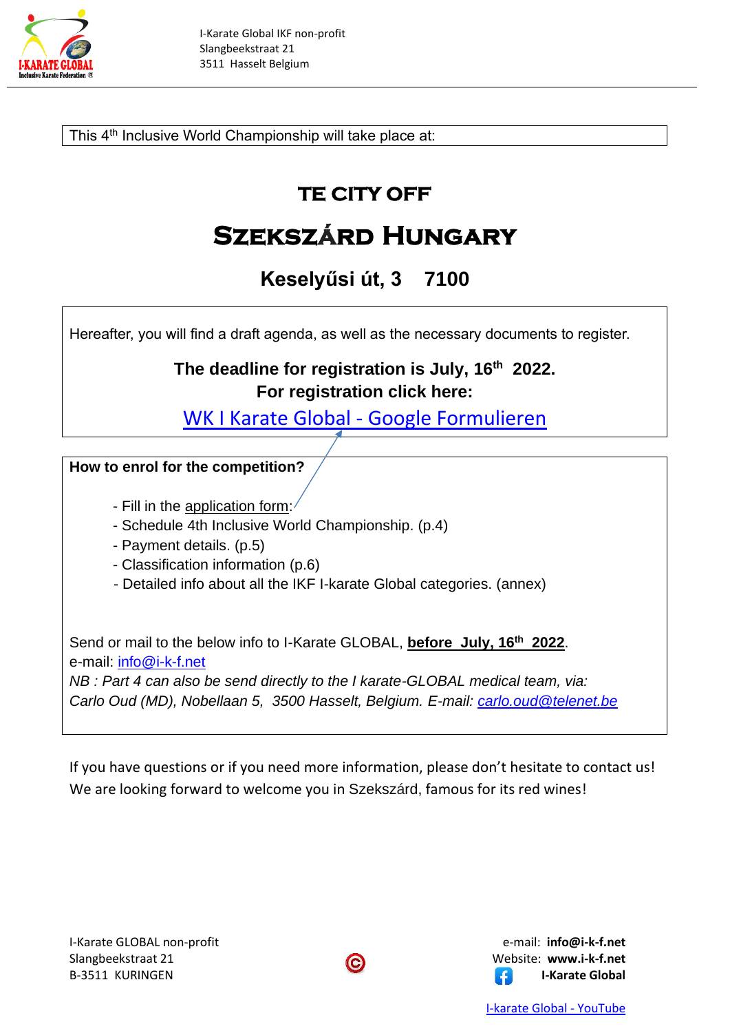

This 4<sup>th</sup> Inclusive World Championship will take place at: 

## **TE CITY OFF**

# **Szekszárd Hungary**

## **Keselyűsi út, 3 7100**

Hereafter, you will find a draft agenda, as well as the necessary documents to register.

#### **The deadline for registration is July, 16 th 2022. For registration click here:**

[WK I Karate Global -](https://docs.google.com/forms/d/1JrJZWdVr7SN1VJnKcTA3hpcKHtpdZkvWQjSjWfl5Tx4/edit) Google Formulieren

#### **How to enrol for the competition?**

- Fill in the application form:
- Schedule 4th Inclusive World Championship. (p.4)
- Payment details. (p.5)
- Classification information (p.6)
- Detailed info about all the IKF I-karate Global categories. (annex)

Send or mail to the below info to I-Karate GLOBAL, **before July, 16<sup>th</sup> 2022**. e-mail: [info@i-k-f.net](mailto:info@i-k-f.net)

*NB : Part 4 can also be send directly to the I karate-GLOBAL medical team, via: Carlo Oud (MD), Nobellaan 5, 3500 Hasselt, Belgium. E-mail: [carlo.oud@telenet.be](mailto:carlo.oud@telenet.be)*

If you have questions or if you need more information, please don't hesitate to contact us! We are looking forward to welcome you in Szekszárd, famous for its red wines!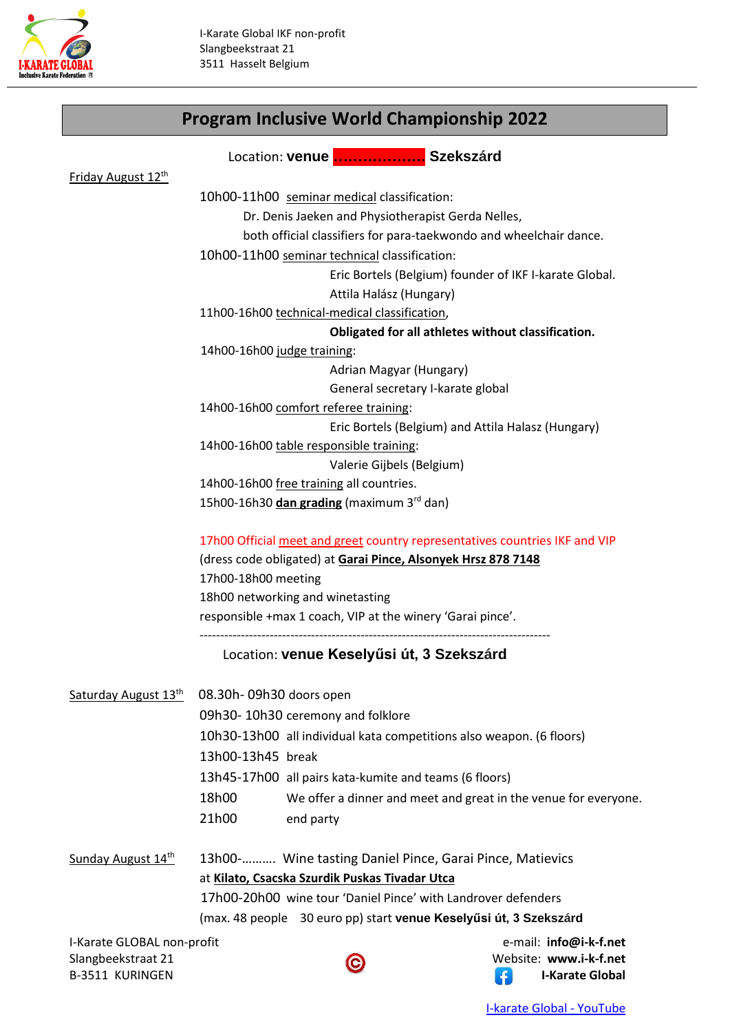

## **Program Inclusive World Championship 2022**

|                                                  |                                                                                                                                              | Location: venue  Szekszárd                |                        |  |  |
|--------------------------------------------------|----------------------------------------------------------------------------------------------------------------------------------------------|-------------------------------------------|------------------------|--|--|
| Friday August 12th                               |                                                                                                                                              |                                           |                        |  |  |
|                                                  | 10h00-11h00 seminar medical classification:                                                                                                  |                                           |                        |  |  |
|                                                  | Dr. Denis Jaeken and Physiotherapist Gerda Nelles,                                                                                           |                                           |                        |  |  |
|                                                  | both official classifiers for para-taekwondo and wheelchair dance.                                                                           |                                           |                        |  |  |
|                                                  | 10h00-11h00 seminar technical classification:                                                                                                |                                           |                        |  |  |
|                                                  | Eric Bortels (Belgium) founder of IKF I-karate Global.                                                                                       |                                           |                        |  |  |
|                                                  | Attila Halász (Hungary)                                                                                                                      |                                           |                        |  |  |
|                                                  | 11h00-16h00 technical-medical classification,                                                                                                |                                           |                        |  |  |
|                                                  | Obligated for all athletes without classification.                                                                                           |                                           |                        |  |  |
|                                                  | 14h00-16h00 judge training:                                                                                                                  |                                           |                        |  |  |
|                                                  | Adrian Magyar (Hungary)                                                                                                                      |                                           |                        |  |  |
|                                                  | General secretary I-karate global                                                                                                            |                                           |                        |  |  |
|                                                  | 14h00-16h00 comfort referee training:                                                                                                        |                                           |                        |  |  |
|                                                  | Eric Bortels (Belgium) and Attila Halasz (Hungary)                                                                                           |                                           |                        |  |  |
|                                                  | 14h00-16h00 table responsible training:                                                                                                      |                                           |                        |  |  |
|                                                  | Valerie Gijbels (Belgium)                                                                                                                    |                                           |                        |  |  |
|                                                  | 14h00-16h00 free training all countries.                                                                                                     |                                           |                        |  |  |
|                                                  | 15h00-16h30 dan grading (maximum 3rd dan)                                                                                                    |                                           |                        |  |  |
|                                                  | 17h00 Official meet and greet country representatives countries IKF and VIP<br>(dress code obligated) at Garai Pince, Alsonyek Hrsz 878 7148 |                                           |                        |  |  |
|                                                  |                                                                                                                                              |                                           |                        |  |  |
|                                                  | 17h00-18h00 meeting                                                                                                                          |                                           |                        |  |  |
|                                                  | 18h00 networking and winetasting                                                                                                             |                                           |                        |  |  |
|                                                  | responsible +max 1 coach, VIP at the winery 'Garai pince'.                                                                                   |                                           |                        |  |  |
|                                                  |                                                                                                                                              | Location: venue Keselyűsi út, 3 Szekszárd |                        |  |  |
|                                                  |                                                                                                                                              |                                           |                        |  |  |
|                                                  | Saturday August 13th 08.30h-09h30 doors open                                                                                                 |                                           |                        |  |  |
|                                                  | 09h30-10h30 ceremony and folklore                                                                                                            |                                           |                        |  |  |
|                                                  | 10h30-13h00 all individual kata competitions also weapon. (6 floors)                                                                         |                                           |                        |  |  |
|                                                  | 13h00-13h45 break                                                                                                                            |                                           |                        |  |  |
|                                                  | 13h45-17h00 all pairs kata-kumite and teams (6 floors)                                                                                       |                                           |                        |  |  |
|                                                  | 18h00<br>We offer a dinner and meet and great in the venue for everyone.                                                                     |                                           |                        |  |  |
|                                                  | 21h00                                                                                                                                        | end party                                 |                        |  |  |
| Sunday August 14th                               | 13h00- Wine tasting Daniel Pince, Garai Pince, Matievics                                                                                     |                                           |                        |  |  |
|                                                  | at Kilato, Csacska Szurdik Puskas Tivadar Utca                                                                                               |                                           |                        |  |  |
|                                                  | 17h00-20h00 wine tour 'Daniel Pince' with Landrover defenders                                                                                |                                           |                        |  |  |
|                                                  | (max. 48 people 30 euro pp) start venue Keselyűsi út, 3 Szekszárd                                                                            |                                           |                        |  |  |
|                                                  |                                                                                                                                              |                                           | e-mail: info@i-k-f.net |  |  |
| I-Karate GLOBAL non-profit<br>Slangbeekstraat 21 |                                                                                                                                              | $\odot$                                   | Website: www.i-k-f.net |  |  |

B-3511 KURINGEN **I-Karate Global**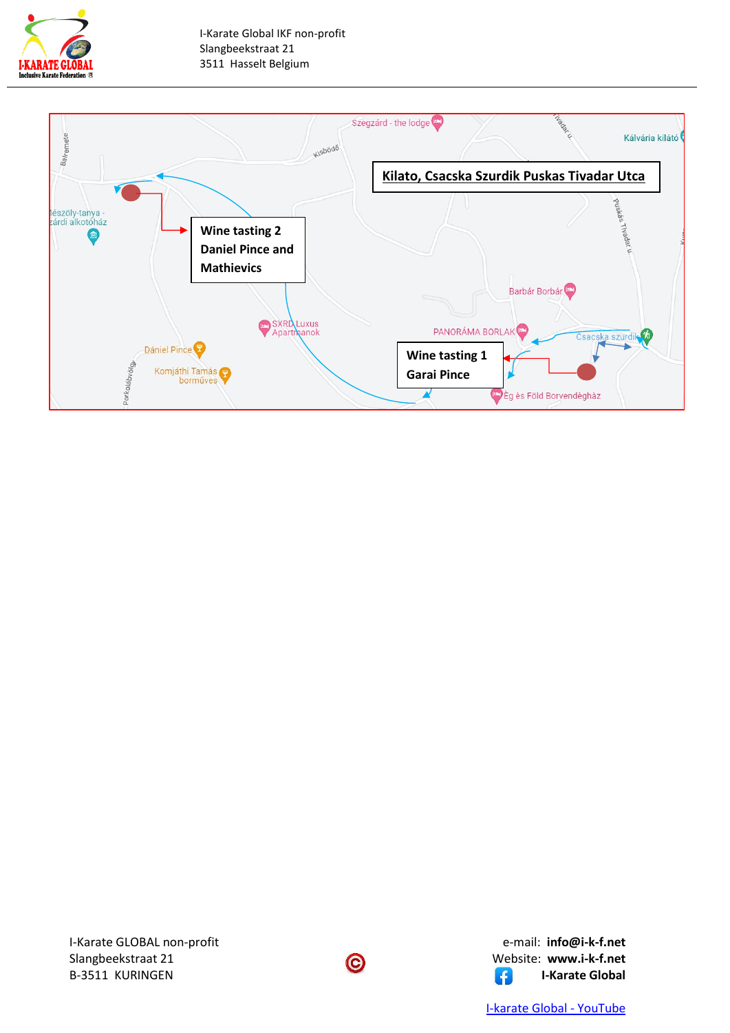



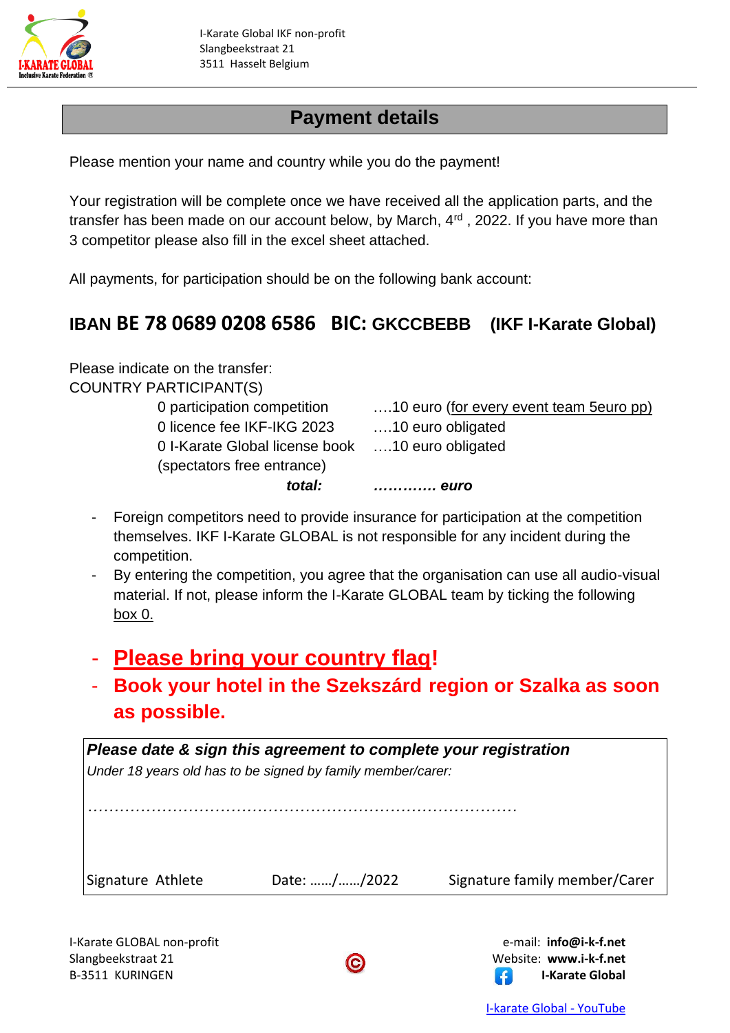

## **Payment details**

Please mention your name and country while you do the payment!

Your registration will be complete once we have received all the application parts, and the transfer has been made on our account below, by March,  $4<sup>rd</sup>$ , 2022. If you have more than 3 competitor please also fill in the excel sheet attached.

All payments, for participation should be on the following bank account:

### **IBAN BE 78 0689 0208 6586 BIC: GKCCBEBB (IKF I-Karate Global)**

Please indicate on the transfer: COUNTRY PARTICIPANT(S)

0 licence fee IKF-IKG 2023 ….10 euro obligated 0 I-Karate Global license book ….10 euro obligated (spectators free entrance)

0 participation competition ….10 euro (for every event team 5euro pp) *total: …………. euro*

- Foreign competitors need to provide insurance for participation at the competition themselves. IKF I-Karate GLOBAL is not responsible for any incident during the competition.
- By entering the competition, you agree that the organisation can use all audio-visual material. If not, please inform the I-Karate GLOBAL team by ticking the following box 0.
- **Please bring your country flag!**
- **Book your hotel in the Szekszárd region or Szalka as soon as possible.**

| Please date & sign this agreement to complete your registration |                                                             |                               |  |  |
|-----------------------------------------------------------------|-------------------------------------------------------------|-------------------------------|--|--|
|                                                                 | Under 18 years old has to be signed by family member/carer: |                               |  |  |
|                                                                 |                                                             |                               |  |  |
|                                                                 |                                                             |                               |  |  |
|                                                                 |                                                             |                               |  |  |
|                                                                 |                                                             |                               |  |  |
| Signature Athlete                                               | Date: //2022                                                | Signature family member/Carer |  |  |
|                                                                 |                                                             |                               |  |  |

I-Karate GLOBAL non-profit e-mail: **info@i-k-f.net** Slangbeekstraat 21 **C** Website: **www.i-k-f.net** B-3511 KURINGEN **I-Karate Global**